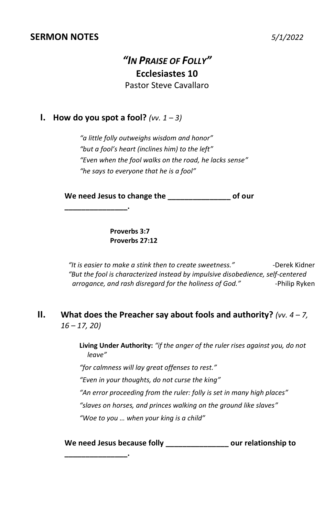#### **SERMON NOTES** *5/1/2022*

## *"IN PRAISE OF FOLLY"* **Ecclesiastes 10** Pastor Steve Cavallaro

#### **I. How do you spot a fool?** *(vv.*  $1 - 3$ )

**\_\_\_\_\_\_\_\_\_\_\_\_\_\_\_.**

*"a little folly outweighs wisdom and honor" "but a fool's heart (inclines him) to the left" "Even when the fool walks on the road, he lacks sense" "he says to everyone that he is a fool"* 

**We need Jesus to change the \_\_\_\_\_\_\_\_\_\_\_\_\_\_\_ of our** 

**Proverbs 3:7 Proverbs 27:12**

*"It is easier to make a stink then to create sweetness." -*Derek Kidner *"But the fool is characterized instead by impulsive disobedience, self-centered*  arrogance, and rash disregard for the holiness of God." -Philip Ryken

#### **II. What does the Preacher say about fools and authority?** *(vv. 4 – 7, 16 – 17, 20)*

**Living Under Authority:** *"if the anger of the ruler rises against you, do not leave"*

*"for calmness will lay great offenses to rest."*

*"Even in your thoughts, do not curse the king"*

*"An error proceeding from the ruler: folly is set in many high places"*

*"slaves on horses, and princes walking on the ground like slaves"*

*"Woe to you … when your king is a child"*

**We need Jesus because folly \_\_\_\_\_\_\_\_\_\_\_\_\_\_\_ our relationship to** 

**\_\_\_\_\_\_\_\_\_\_\_\_\_\_\_.**